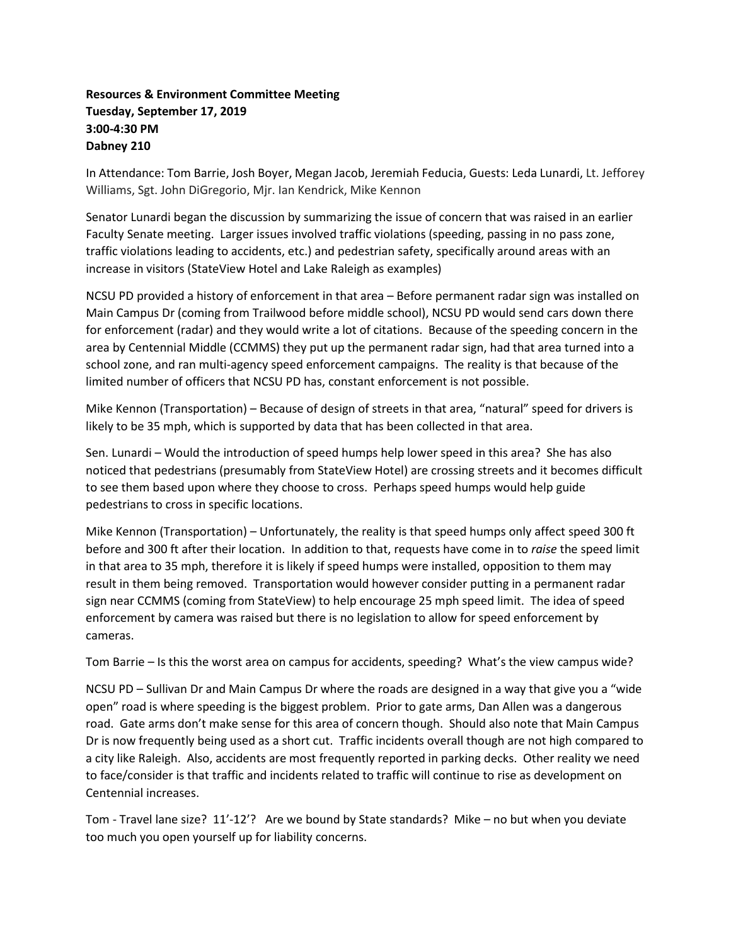## **Resources & Environment Committee Meeting Tuesday, September 17, 2019 3:00-4:30 PM Dabney 210**

In Attendance: Tom Barrie, Josh Boyer, Megan Jacob, Jeremiah Feducia, Guests: Leda Lunardi, Lt. Jefforey Williams, Sgt. John DiGregorio, Mjr. Ian Kendrick, Mike Kennon

Senator Lunardi began the discussion by summarizing the issue of concern that was raised in an earlier Faculty Senate meeting. Larger issues involved traffic violations (speeding, passing in no pass zone, traffic violations leading to accidents, etc.) and pedestrian safety, specifically around areas with an increase in visitors (StateView Hotel and Lake Raleigh as examples)

NCSU PD provided a history of enforcement in that area – Before permanent radar sign was installed on Main Campus Dr (coming from Trailwood before middle school), NCSU PD would send cars down there for enforcement (radar) and they would write a lot of citations. Because of the speeding concern in the area by Centennial Middle (CCMMS) they put up the permanent radar sign, had that area turned into a school zone, and ran multi-agency speed enforcement campaigns. The reality is that because of the limited number of officers that NCSU PD has, constant enforcement is not possible.

Mike Kennon (Transportation) – Because of design of streets in that area, "natural" speed for drivers is likely to be 35 mph, which is supported by data that has been collected in that area.

Sen. Lunardi – Would the introduction of speed humps help lower speed in this area? She has also noticed that pedestrians (presumably from StateView Hotel) are crossing streets and it becomes difficult to see them based upon where they choose to cross. Perhaps speed humps would help guide pedestrians to cross in specific locations.

Mike Kennon (Transportation) – Unfortunately, the reality is that speed humps only affect speed 300 ft before and 300 ft after their location. In addition to that, requests have come in to *raise* the speed limit in that area to 35 mph, therefore it is likely if speed humps were installed, opposition to them may result in them being removed. Transportation would however consider putting in a permanent radar sign near CCMMS (coming from StateView) to help encourage 25 mph speed limit. The idea of speed enforcement by camera was raised but there is no legislation to allow for speed enforcement by cameras.

Tom Barrie – Is this the worst area on campus for accidents, speeding? What's the view campus wide?

NCSU PD – Sullivan Dr and Main Campus Dr where the roads are designed in a way that give you a "wide open" road is where speeding is the biggest problem. Prior to gate arms, Dan Allen was a dangerous road. Gate arms don't make sense for this area of concern though. Should also note that Main Campus Dr is now frequently being used as a short cut. Traffic incidents overall though are not high compared to a city like Raleigh. Also, accidents are most frequently reported in parking decks. Other reality we need to face/consider is that traffic and incidents related to traffic will continue to rise as development on Centennial increases.

Tom - Travel lane size? 11'-12'? Are we bound by State standards? Mike – no but when you deviate too much you open yourself up for liability concerns.